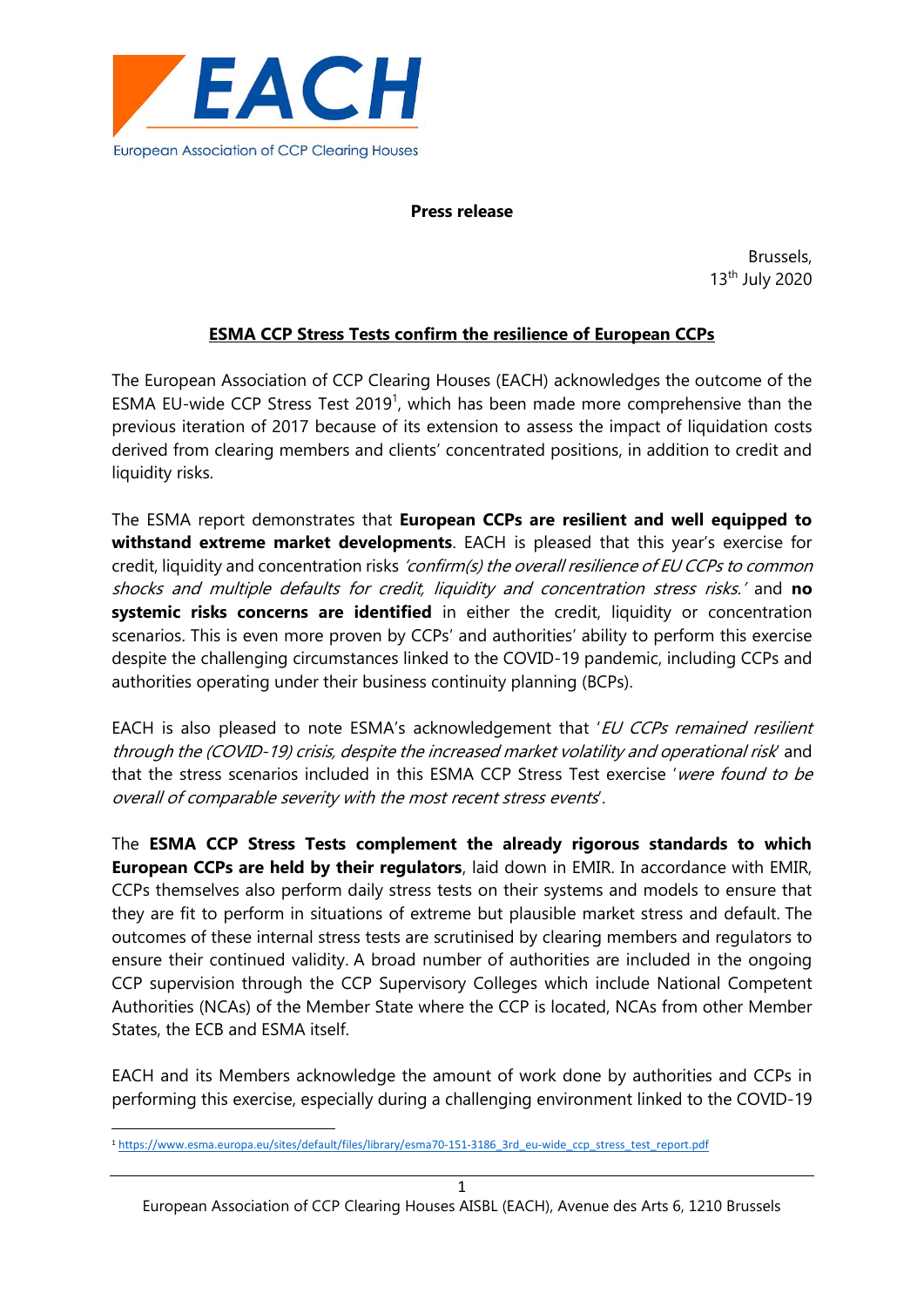

**Press release**

Brussels, 13th July 2020

## **ESMA CCP Stress Tests confirm the resilience of European CCPs**

The European Association of CCP Clearing Houses (EACH) acknowledges the outcome of the ESMA EU-wide CCP Stress Test 2019<sup>1</sup>, which has been made more comprehensive than the previous iteration of 2017 because of its extension to assess the impact of liquidation costs derived from clearing members and clients' concentrated positions, in addition to credit and liquidity risks.

The ESMA report demonstrates that **European CCPs are resilient and well equipped to withstand extreme market developments**. EACH is pleased that this year's exercise for credit, liquidity and concentration risks 'confirm(s) the overall resilience of EU CCPs to common shocks and multiple defaults for credit, liquidity and concentration stress risks.' and **no systemic risks concerns are identified** in either the credit, liquidity or concentration scenarios. This is even more proven by CCPs' and authorities' ability to perform this exercise despite the challenging circumstances linked to the COVID-19 pandemic, including CCPs and authorities operating under their business continuity planning (BCPs).

EACH is also pleased to note ESMA's acknowledgement that 'EU CCPs remained resilient through the (COVID-19) crisis, despite the increased market volatility and operational risk' and that the stress scenarios included in this ESMA CCP Stress Test exercise 'were found to be overall of comparable severity with the most recent stress events'.

The **ESMA CCP Stress Tests complement the already rigorous standards to which European CCPs are held by their regulators**, laid down in EMIR. In accordance with EMIR, CCPs themselves also perform daily stress tests on their systems and models to ensure that they are fit to perform in situations of extreme but plausible market stress and default. The outcomes of these internal stress tests are scrutinised by clearing members and regulators to ensure their continued validity. A broad number of authorities are included in the ongoing CCP supervision through the CCP Supervisory Colleges which include National Competent Authorities (NCAs) of the Member State where the CCP is located, NCAs from other Member States, the ECB and ESMA itself.

EACH and its Members acknowledge the amount of work done by authorities and CCPs in performing this exercise, especially during a challenging environment linked to the COVID-19

<sup>1</sup> [https://www.esma.europa.eu/sites/default/files/library/esma70-151-3186\\_3rd\\_eu-wide\\_ccp\\_stress\\_test\\_report.pdf](https://www.esma.europa.eu/sites/default/files/library/esma70-151-3186_3rd_eu-wide_ccp_stress_test_report.pdf)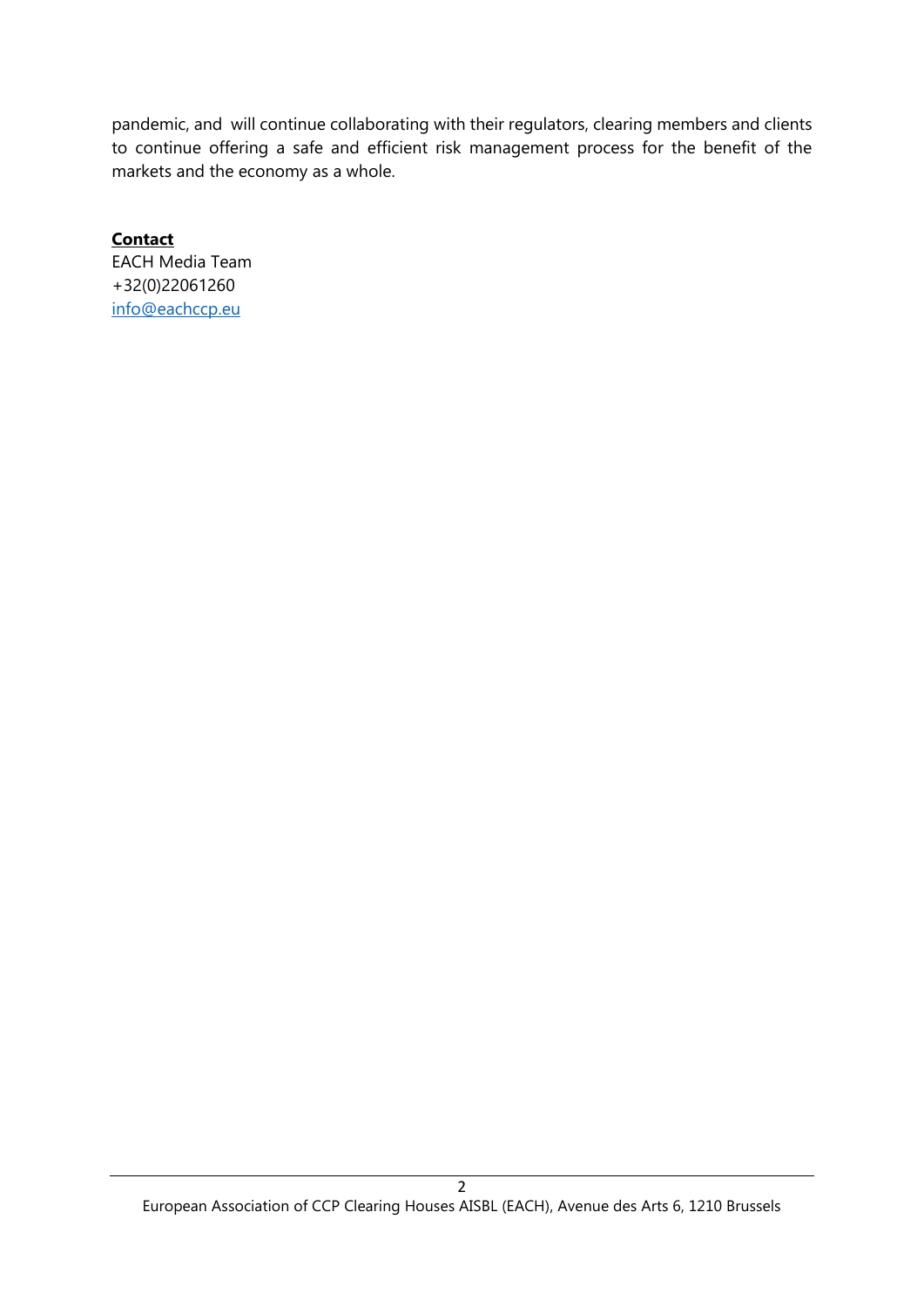pandemic, and will continue collaborating with their regulators, clearing members and clients to continue offering a safe and efficient risk management process for the benefit of the markets and the economy as a whole.

**Contact** EACH Media Team +32(0)22061260 [info@eachccp.eu](mailto:info@eachccp.eu)